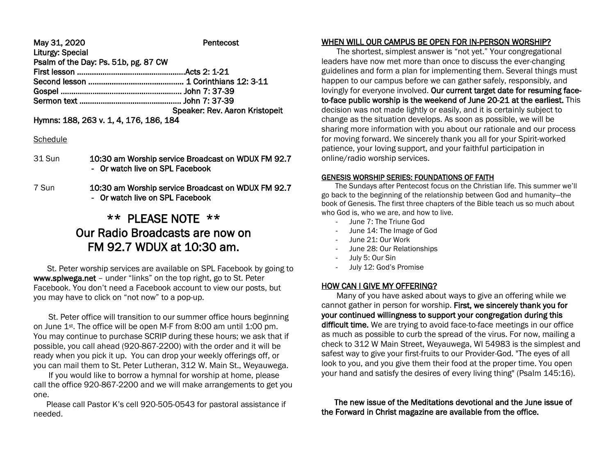#### May 31, 2020 **Pentecost** Liturgy: Special Psalm of the Day: Ps. 51b, pg. 87 CW First lesson ……………………………………………Acts 2: 1-21 Second lesson ……………………………………… 1 Corinthians 12: 3-11 Gospel ………………………..………………………. John 7: 37-39

Sermon text ………………………………………… John 7: 37-39

Speaker: Rev. Aaron Kristopeit

Hymns: 188, 263 v. 1, 4, 176, 186, 184

### **Schedule**

- 31 Sun 10:30 am Worship service Broadcast on WDUX FM 92.7 - Or watch live on SPL Facebook
- 7 Sun 10:30 am Worship service Broadcast on WDUX FM 92.7 - Or watch live on SPL Facebook

# \*\* PLEASE NOTE \*\* Our Radio Broadcasts are now on FM 92.7 WDUX at 10:30 am.

 St. Peter worship services are available on SPL Facebook by going to www.splwega.net – under "links" on the top right, go to St. Peter Facebook. You don't need a Facebook account to view our posts, but you may have to click on "not now" to a pop-up.

 St. Peter office will transition to our summer office hours beginning on June 1st. The office will be open M-F from 8:00 am until 1:00 pm. You may continue to purchase SCRIP during these hours; we ask that if possible, you call ahead (920-867-2200) with the order and it will be ready when you pick it up. You can drop your weekly offerings off, or you can mail them to St. Peter Lutheran, 312 W. Main St., Weyauwega.

 If you would like to borrow a hymnal for worship at home, please call the office 920-867-2200 and we will make arrangements to get you one.

 Please call Pastor K's cell 920-505-0543 for pastoral assistance if needed.

# WHEN WILL OUR CAMPUS BE OPEN FOR IN-PERSON WORSHIP?

 The shortest, simplest answer is "not yet." Your congregational leaders have now met more than once to discuss the ever-changing guidelines and form a plan for implementing them. Several things must happen to our campus before we can gather safely, responsibly, and lovingly for everyone involved. Our current target date for resuming faceto-face public worship is the weekend of June 20-21 at the earliest. This decision was not made lightly or easily, and it is certainly subject to change as the situation develops. As soon as possible, we will be sharing more information with you about our rationale and our process for moving forward. We sincerely thank you all for your Spirit-worked patience, your loving support, and your faithful participation in online/radio worship services.

#### GENESIS WORSHIP SERIES: FOUNDATIONS OF FAITH

 The Sundays after Pentecost focus on the Christian life. This summer we'll go back to the beginning of the relationship between God and humanity—the book of Genesis. The first three chapters of the Bible teach us so much about who God is, who we are, and how to live.

- June 7: The Triune God
- June 14: The Image of God
- June 21: Our Work
- June 28: Our Relationships
- July 5: Our Sin
- July 12: God's Promise

## HOW CAN I GIVE MY OFFERING?

 Many of you have asked about ways to give an offering while we cannot gather in person for worship. First, we sincerely thank you for your continued willingness to support your congregation during this difficult time. We are trying to avoid face-to-face meetings in our office as much as possible to curb the spread of the virus. For now, mailing a check to 312 W Main Street, Weyauwega, WI 54983 is the simplest and safest way to give your first-fruits to our Provider-God. "The eyes of all look to you, and you give them their food at the proper time. You open your hand and satisfy the desires of every living thing" (Psalm 145:16).

 The new issue of the Meditations devotional and the June issue of the Forward in Christ magazine are available from the office.